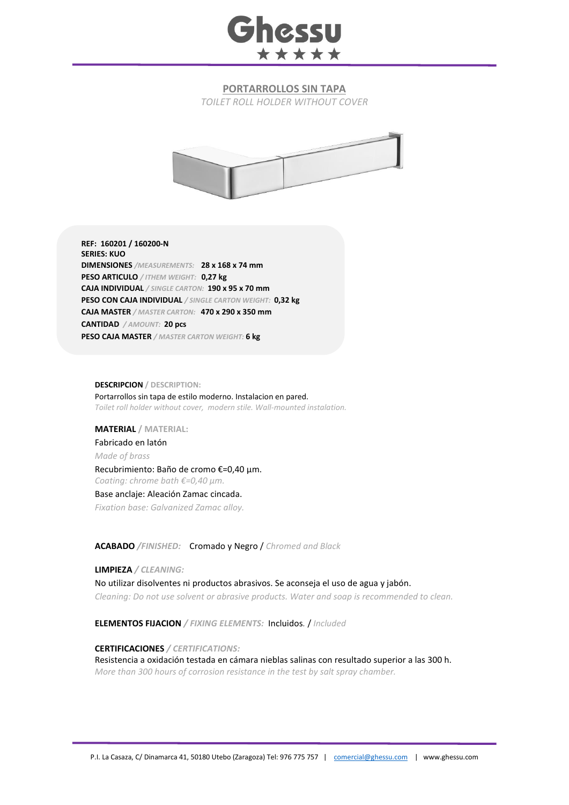

## **PORTARROLLOS SIN TAPA**

*TOILET ROLL HOLDER WITHOUT COVER*



**REF: 160201 / 160200-N SERIES: KUO DIMENSIONES** */MEASUREMENTS:* **28 x 168 x 74 mm PESO ARTICULO** */ ITHEM WEIGHT:* **0,27 kg CAJA INDIVIDUAL** */ SINGLE CARTON:* **190 x 95 x 70 mm PESO CON CAJA INDIVIDUAL** */ SINGLE CARTON WEIGHT:* **0,32 kg CAJA MASTER** */ MASTER CARTON:* **470 x 290 x 350 mm CANTIDAD** */ AMOUNT:* **20 pcs PESO CAJA MASTER** */ MASTER CARTON WEIGHT:* **6 kg**

#### **DESCRIPCION / DESCRIPTION:**

Portarrollos sin tapa de estilo moderno. Instalacion en pared. *Toilet roll holder without cover, modern stile. Wall-mounted instalation.*

### **MATERIAL / MATERIAL:**

Fabricado en latón *Made of brass* Recubrimiento: Baño de cromo €=0,40 μm. *Coating: chrome bath €=0,40 μm.* Base anclaje: Aleación Zamac cincada.

*Fixation base: Galvanized Zamac alloy.*

**ACABADO** */FINISHED:*Cromado y Negro / *Chromed and Black*

#### **LIMPIEZA** */ CLEANING:*

No utilizar disolventes ni productos abrasivos. Se aconseja el uso de agua y jabón. *Cleaning: Do not use solvent or abrasive products. Water and soap is recommended to clean.*

**ELEMENTOS FIJACION** */ FIXING ELEMENTS:* Incluidos*.* / *Included*

## **CERTIFICACIONES** */ CERTIFICATIONS:*

Resistencia a oxidación testada en cámara nieblas salinas con resultado superior a las 300 h. *More than 300 hours of corrosion resistance in the test by salt spray chamber.*